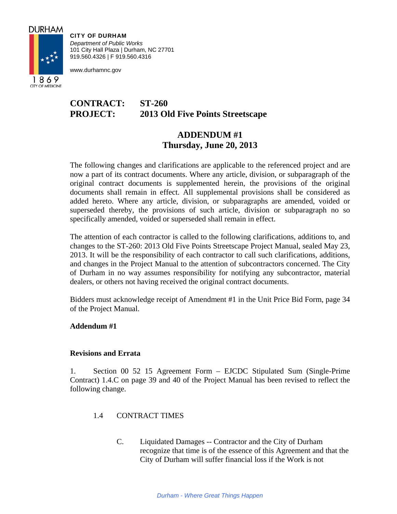

1869 CITY OF MEDICINE

CITY OF DURHAM *Department of Public Works*  101 City Hall Plaza | Durham, NC 27701 919.560.4326 | F 919.560.4316

www.durhamnc.gov

# **CONTRACT: ST-260 PROJECT: 2013 Old Five Points Streetscape**

## **ADDENDUM #1 Thursday, June 20, 2013**

The following changes and clarifications are applicable to the referenced project and are now a part of its contract documents. Where any article, division, or subparagraph of the original contract documents is supplemented herein, the provisions of the original documents shall remain in effect. All supplemental provisions shall be considered as added hereto. Where any article, division, or subparagraphs are amended, voided or superseded thereby, the provisions of such article, division or subparagraph no so specifically amended, voided or superseded shall remain in effect.

The attention of each contractor is called to the following clarifications, additions to, and changes to the ST-260: 2013 Old Five Points Streetscape Project Manual, sealed May 23, 2013. It will be the responsibility of each contractor to call such clarifications, additions, and changes in the Project Manual to the attention of subcontractors concerned. The City of Durham in no way assumes responsibility for notifying any subcontractor, material dealers, or others not having received the original contract documents.

Bidders must acknowledge receipt of Amendment #1 in the Unit Price Bid Form, page 34 of the Project Manual.

### **Addendum #1**

### **Revisions and Errata**

1. Section 00 52 15 Agreement Form – EJCDC Stipulated Sum (Single-Prime Contract) 1.4.C on page 39 and 40 of the Project Manual has been revised to reflect the following change.

- 1.4 CONTRACT TIMES
	- C. Liquidated Damages -- Contractor and the City of Durham recognize that time is of the essence of this Agreement and that the City of Durham will suffer financial loss if the Work is not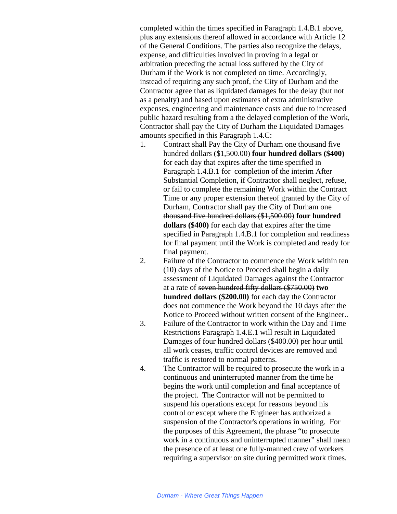completed within the times specified in Paragraph 1.4.B.1 above, plus any extensions thereof allowed in accordance with Article 12 of the General Conditions. The parties also recognize the delays, expense, and difficulties involved in proving in a legal or arbitration preceding the actual loss suffered by the City of Durham if the Work is not completed on time. Accordingly, instead of requiring any such proof, the City of Durham and the Contractor agree that as liquidated damages for the delay (but not as a penalty) and based upon estimates of extra administrative expenses, engineering and maintenance costs and due to increased public hazard resulting from a the delayed completion of the Work, Contractor shall pay the City of Durham the Liquidated Damages amounts specified in this Paragraph 1.4.C:

- 1. Contract shall Pay the City of Durham one thousand five hundred dollars (\$1,500.00) **four hundred dollars (\$400)** for each day that expires after the time specified in Paragraph 1.4.B.1 for completion of the interim After Substantial Completion, if Contractor shall neglect, refuse, or fail to complete the remaining Work within the Contract Time or any proper extension thereof granted by the City of Durham, Contractor shall pay the City of Durham one thousand five hundred dollars (\$1,500.00) **four hundred dollars (\$400)** for each day that expires after the time specified in Paragraph 1.4.B.1 for completion and readiness for final payment until the Work is completed and ready for final payment.
- 2. Failure of the Contractor to commence the Work within ten (10) days of the Notice to Proceed shall begin a daily assessment of Liquidated Damages against the Contractor at a rate of seven hundred fifty dollars (\$750.00) **two hundred dollars (\$200.00)** for each day the Contractor does not commence the Work beyond the 10 days after the Notice to Proceed without written consent of the Engineer..
- 3. Failure of the Contractor to work within the Day and Time Restrictions Paragraph 1.4.E.1 will result in Liquidated Damages of four hundred dollars (\$400.00) per hour until all work ceases, traffic control devices are removed and traffic is restored to normal patterns.
- 4. The Contractor will be required to prosecute the work in a continuous and uninterrupted manner from the time he begins the work until completion and final acceptance of the project. The Contractor will not be permitted to suspend his operations except for reasons beyond his control or except where the Engineer has authorized a suspension of the Contractor's operations in writing. For the purposes of this Agreement, the phrase "to prosecute work in a continuous and uninterrupted manner" shall mean the presence of at least one fully-manned crew of workers requiring a supervisor on site during permitted work times.